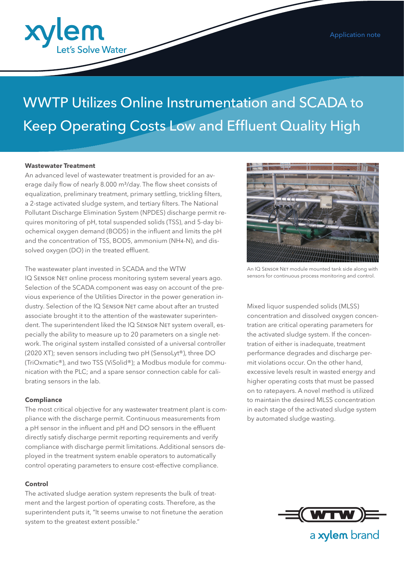

# WWTP Utilizes Online Instrumentation and SCADA to Keep Operating Costs Low and Effluent Quality High

#### **Wastewater Treatment**

An advanced level of wastewater treatment is provided for an average daily flow of nearly 8.000 m<sup>3</sup>/day. The flow sheet consists of equalization, preliminary treatment, primary settling, trickling filters, a 2-stage activated sludge system, and tertiary filters. The National Pollutant Discharge Elimination System (NPDES) discharge permit requires monitoring of pH, total suspended solids (TSS), and 5-day biochemical oxygen demand (BOD5) in the influent and limits the pH and the concentration of TSS, BOD5, ammonium (NH4-N), and dissolved oxygen (DO) in the treated effluent.

#### The wastewater plant invested in SCADA and the WTW

IQ SENSOR NET online process monitoring system several years ago. Selection of the SCADA component was easy on account of the previous experience of the Utilities Director in the power generation industry. Selection of the IQ SENSOR NET came about after an trusted associate brought it to the attention of the wastewater superintendent. The superintendent liked the IQ SENSOR NET system overall, especially the ability to measure up to 20 parameters on a single network. The original system installed consisted of a universal controller (2020 XT); seven sensors including two pH (SensoLyt®), three DO (TriOxmatic®), and two TSS (ViSolid®); a Modbus module for communication with the PLC; and a spare sensor connection cable for calibrating sensors in the lab.

#### **Compliance**

The most critical objective for any wastewater treatment plant is compliance with the discharge permit. Continuous measurements from a pH sensor in the influent and pH and DO sensors in the effluent directly satisfy discharge permit reporting requirements and verify compliance with discharge permit limitations. Additional sensors deployed in the treatment system enable operators to automatically control operating parameters to ensure cost-effective compliance.

#### **Control**

The activated sludge aeration system represents the bulk of treatment and the largest portion of operating costs. Therefore, as the superintendent puts it, "It seems unwise to not finetune the aeration system to the greatest extent possible."



An IQ SENSOR NET module mounted tank side along with sensors for continuous process monitoring and control.

Mixed liquor suspended solids (MLSS) concentration and dissolved oxygen concentration are critical operating parameters for the activated sludge system. If the concentration of either is inadequate, treatment performance degrades and discharge permit violations occur. On the other hand, excessive levels result in wasted energy and higher operating costs that must be passed on to ratepayers. A novel method is utilized to maintain the desired MLSS concentration in each stage of the activated sludge system by automated sludge wasting.



a xylem brand